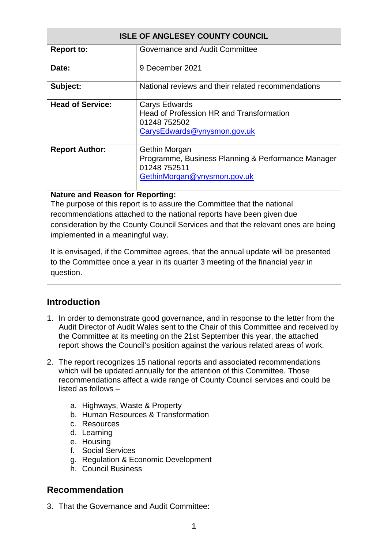| <b>ISLE OF ANGLESEY COUNTY COUNCIL</b> |                                                                                                                    |  |
|----------------------------------------|--------------------------------------------------------------------------------------------------------------------|--|
| <b>Report to:</b>                      | Governance and Audit Committee                                                                                     |  |
| Date:                                  | 9 December 2021                                                                                                    |  |
| Subject:                               | National reviews and their related recommendations                                                                 |  |
| <b>Head of Service:</b>                | Carys Edwards<br>Head of Profession HR and Transformation<br>01248 752502<br>CarysEdwards@ynysmon.gov.uk           |  |
| <b>Report Author:</b>                  | Gethin Morgan<br>Programme, Business Planning & Performance Manager<br>01248 752511<br>GethinMorgan@ynysmon.gov.uk |  |

### **Nature and Reason for Reporting:**

The purpose of this report is to assure the Committee that the national recommendations attached to the national reports have been given due consideration by the County Council Services and that the relevant ones are being implemented in a meaningful way.

It is envisaged, if the Committee agrees, that the annual update will be presented to the Committee once a year in its quarter 3 meeting of the financial year in question.

## **Introduction**

- 1. In order to demonstrate good governance, and in response to the letter from the Audit Director of Audit Wales sent to the Chair of this Committee and received by the Committee at its meeting on the 21st September this year, the attached report shows the Council's position against the various related areas of work.
- 2. The report recognizes 15 national reports and associated recommendations which will be updated annually for the attention of this Committee. Those recommendations affect a wide range of County Council services and could be listed as follows –
	- a. Highways, Waste & Property
	- b. Human Resources & Transformation
	- c. Resources
	- d. Learning
	- e. Housing
	- f. Social Services
	- g. Regulation & Economic Development
	- h. Council Business

## **Recommendation**

3. That the Governance and Audit Committee: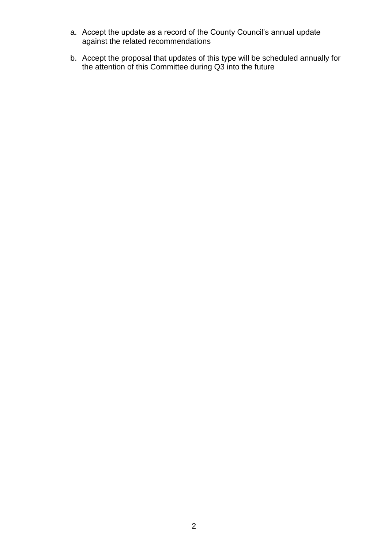- a. Accept the update as a record of the County Council's annual update against the related recommendations
- b. Accept the proposal that updates of this type will be scheduled annually for the attention of this Committee during Q3 into the future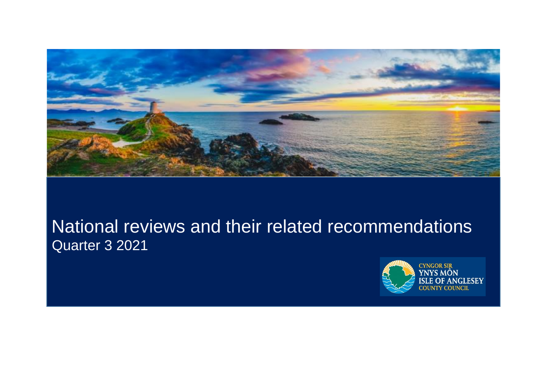

# National reviews and their related recommendations Quarter 3 2021

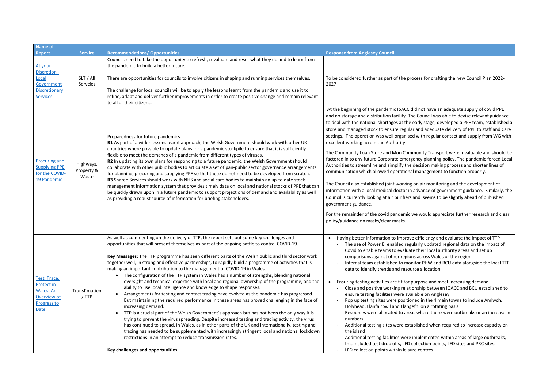| <b>Name of</b>                                                                       |                                  |                                                                                                                                                                                                                                                                                                                                                                                                                                                                                                                                                                                                                                                                                                                                                                                                                                                                                                                                                                                                                                                                                                                                                                                                                                                                                                                                                                                                                                                                                                                                  |                                                                                                                                                                                                                                                                                                                                                                                                                                                                                                                                                                                                                                                                                                                              |
|--------------------------------------------------------------------------------------|----------------------------------|----------------------------------------------------------------------------------------------------------------------------------------------------------------------------------------------------------------------------------------------------------------------------------------------------------------------------------------------------------------------------------------------------------------------------------------------------------------------------------------------------------------------------------------------------------------------------------------------------------------------------------------------------------------------------------------------------------------------------------------------------------------------------------------------------------------------------------------------------------------------------------------------------------------------------------------------------------------------------------------------------------------------------------------------------------------------------------------------------------------------------------------------------------------------------------------------------------------------------------------------------------------------------------------------------------------------------------------------------------------------------------------------------------------------------------------------------------------------------------------------------------------------------------|------------------------------------------------------------------------------------------------------------------------------------------------------------------------------------------------------------------------------------------------------------------------------------------------------------------------------------------------------------------------------------------------------------------------------------------------------------------------------------------------------------------------------------------------------------------------------------------------------------------------------------------------------------------------------------------------------------------------------|
| <b>Report</b>                                                                        | <b>Service</b>                   | <b>Recommendations/ Opportunities</b>                                                                                                                                                                                                                                                                                                                                                                                                                                                                                                                                                                                                                                                                                                                                                                                                                                                                                                                                                                                                                                                                                                                                                                                                                                                                                                                                                                                                                                                                                            | <b>Response from Anglesey Council</b>                                                                                                                                                                                                                                                                                                                                                                                                                                                                                                                                                                                                                                                                                        |
| At your<br>Discretion -<br>Local<br>Government<br>Discretionary<br><b>Services</b>   | SLT / All<br>Servcies            | Councils need to take the opportunity to refresh, revaluate and reset what they do and to learn from<br>the pandemic to build a better future.<br>There are opportunities for councils to involve citizens in shaping and running services themselves.<br>The challenge for local councils will be to apply the lessons learnt from the pandemic and use it to<br>refine, adapt and deliver further improvements in order to create positive change and remain relevant<br>to all of their citizens.                                                                                                                                                                                                                                                                                                                                                                                                                                                                                                                                                                                                                                                                                                                                                                                                                                                                                                                                                                                                                             | To be considered further as part of the pro<br>2027                                                                                                                                                                                                                                                                                                                                                                                                                                                                                                                                                                                                                                                                          |
| <b>Procuring and</b><br><b>Supplying PPE</b><br>for the COVID-<br>19 Pandemic        | Highways,<br>Property &<br>Waste | Preparedness for future pandemics<br>R1 As part of a wider lessons learnt approach, the Welsh Government should work with other UK<br>countries where possible to update plans for a pandemic stockpile to ensure that it is sufficiently<br>flexible to meet the demands of a pandemic from different types of viruses.<br>R2 In updating its own plans for responding to a future pandemic, the Welsh Government should<br>collaborate with other public bodies to articulate a set of pan-public sector governance arrangements<br>for planning, procuring and supplying PPE so that these do not need to be developed from scratch.<br>R3 Shared Services should work with NHS and social care bodies to maintain an up-to date stock<br>management information system that provides timely data on local and national stocks of PPE that can<br>be quickly drawn upon in a future pandemic to support projections of demand and availability as well<br>as providing a robust source of information for briefing stakeholders.                                                                                                                                                                                                                                                                                                                                                                                                                                                                                              | At the beginning of the pandemic loACC d<br>and no storage and distribution facility. The<br>to deal with the national shortages at the e<br>store and managed stock to ensure regular<br>settings. The operation was well organised<br>excellent working across the Authority.<br>The Community Loan Store and Mon Comr<br>factored in to any future Corporate emerge<br>Authorities to streamline and simplify the<br>communication which allowed operational<br>The Council also established joint working<br>information with a local medical doctor in<br>Council is currently looking at air purifiers a<br>government guidance.<br>For the remainder of the covid pandemic v<br>policy/guidance on masks/clear masks. |
| Test, Trace,<br>Protect in<br>Wales: An<br>Overview of<br><b>Progress to</b><br>Date | Transf'mation<br>/ TTP           | As well as commenting on the delivery of TTP, the report sets out some key challenges and<br>opportunities that will present themselves as part of the ongoing battle to control COVID-19.<br>Key Messages: The TTP programme has seen different parts of the Welsh public and third sector work<br>together well, in strong and effective partnerships, to rapidly build a programme of activities that is<br>making an important contribution to the management of COVID-19 in Wales.<br>The configuration of the TTP system in Wales has a number of strengths, blending national<br>$\bullet$<br>oversight and technical expertise with local and regional ownership of the programme, and the<br>ability to use local intelligence and knowledge to shape responses.<br>Arrangements for testing and contact tracing have evolved as the pandemic has progressed.<br>$\bullet$<br>But maintaining the required performance in these areas has proved challenging in the face of<br>increasing demand.<br>TTP is a crucial part of the Welsh Government's approach but has not been the only way it is<br>$\bullet$<br>trying to prevent the virus spreading. Despite increased testing and tracing activity, the virus<br>has continued to spread. In Wales, as in other parts of the UK and internationally, testing and<br>tracing has needed to be supplemented with increasingly stringent local and national lockdown<br>restrictions in an attempt to reduce transmission rates.<br>Key challenges and opportunities: | Having better information to improve<br>- The use of Power BI enabled regu<br>Covid to enable teams to evaluate<br>comparisons against other region<br>Internal team established to mon<br>data to identify trends and resour<br>Ensuring testing activities are fit for p<br>Close and positive working relatio<br>ensure testing facilities were avai<br>Pop up testing sites were position<br>Holyhead, Llanfairpwll and Llange<br>Resources were allocated to area<br>numbers<br>Additional testing sites were esta<br>the island<br>Additional testing facilities were i<br>this included test drop offs, LFD c<br>LFD collection points within leisur                                                                  |

ocess for drafting the new Council Plan 2022-

did not have an adequate supply of covid PPE ne Council was able to devise relevant guidance early stage, developed a PPE team, established a ir and adequate delivery of PPE to staff and Care d with regular contact and supply from WG with

munity Transport were invaluable and should be gency planning policy. The pandemic forced Local decision making process and shorter lines of management to function properly.

on air monitoring and the development of advance of government guidance. Similarly, the and seems to be slightly ahead of published

we would appreciate further research and clear

efficiency and evaluate the impact of TTP ularly updated regional data on the impact of te their local authority areas and set up ns across Wales or the region. nitor PHW and BCU data alongside the local TTP rce allocation

ourpose and meet increasing demand onship between IOACC and BCU established to

- ilable on Anglesey ned in the 4 main towns to include Amlwch,
- efni on a rotating basis
- as where there were outbreaks or an increase in

ablished when required to increase capacity on

implemented within areas of large outbreaks, collection points, LFD sites and PRC sites. re centres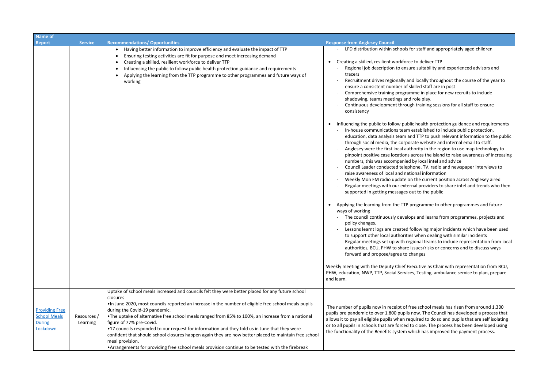| Name of                                                                                              |                                                                                                                                                                                                                                                                                                                                                                                                                                                                                                                                                                                                                                                                                                                          |                                                                                                                                                                                                                                                                                                                                                                                                                                                                                                                                                                                                                                                                                                                                                                                                                                                                                                                     |
|------------------------------------------------------------------------------------------------------|--------------------------------------------------------------------------------------------------------------------------------------------------------------------------------------------------------------------------------------------------------------------------------------------------------------------------------------------------------------------------------------------------------------------------------------------------------------------------------------------------------------------------------------------------------------------------------------------------------------------------------------------------------------------------------------------------------------------------|---------------------------------------------------------------------------------------------------------------------------------------------------------------------------------------------------------------------------------------------------------------------------------------------------------------------------------------------------------------------------------------------------------------------------------------------------------------------------------------------------------------------------------------------------------------------------------------------------------------------------------------------------------------------------------------------------------------------------------------------------------------------------------------------------------------------------------------------------------------------------------------------------------------------|
| <b>Report</b><br><b>Service</b>                                                                      | <b>Recommendations/ Opportunities</b>                                                                                                                                                                                                                                                                                                                                                                                                                                                                                                                                                                                                                                                                                    | <b>Response from Anglesey Council</b>                                                                                                                                                                                                                                                                                                                                                                                                                                                                                                                                                                                                                                                                                                                                                                                                                                                                               |
|                                                                                                      | Having better information to improve efficiency and evaluate the impact of TTP<br>Ensuring testing activities are fit for purpose and meet increasing demand<br>Creating a skilled, resilient workforce to deliver TTP<br>Influencing the public to follow public health protection guidance and requirements<br>Applying the learning from the TTP programme to other programmes and future ways of<br>working                                                                                                                                                                                                                                                                                                          | - LFD distribution within schools for staff and appropriately aged children<br>Creating a skilled, resilient workforce to deliver TTP<br>$\bullet$<br>Regional job description to ensure suitability and experienced advisors and<br>tracers<br>Recruitment drives regionally and locally throughout the course of the year to<br>ensure a consistent number of skilled staff are in post<br>Comprehensive training programme in place for new recruits to include<br>shadowing, teams meetings and role play.<br>Continuous development through training sessions for all staff to ensure<br>consistency                                                                                                                                                                                                                                                                                                           |
|                                                                                                      |                                                                                                                                                                                                                                                                                                                                                                                                                                                                                                                                                                                                                                                                                                                          | Influencing the public to follow public health protection guidance and requirements<br>In-house communications team established to include public protection,<br>education, data analysis team and TTP to push relevant information to the publi<br>through social media, the corporate website and internal email to staff.<br>Anglesey were the first local authority in the region to use map technology to<br>pinpoint positive case locations across the island to raise awareness of increasin<br>numbers, this was accompanied by local intel and advice<br>Council Leader conducted telephone, TV, radio and newspaper interviews to<br>raise awareness of local and national information<br>Weekly Mon FM radio update on the current position across Anglesey aired<br>Regular meetings with our external providers to share intel and trends who ther<br>supported in getting messages out to the public |
|                                                                                                      |                                                                                                                                                                                                                                                                                                                                                                                                                                                                                                                                                                                                                                                                                                                          | Applying the learning from the TTP programme to other programmes and future<br>$\bullet$<br>ways of working<br>The council continuously develops and learns from programmes, projects and<br>policy changes.<br>Lessons learnt logs are created following major incidents which have been used<br>to support other local authorities when dealing with similar incidents<br>Regular meetings set up with regional teams to include representation from local<br>authorities, BCU, PHW to share issues/risks or concerns and to discuss ways<br>forward and propose/agree to changes                                                                                                                                                                                                                                                                                                                                 |
|                                                                                                      |                                                                                                                                                                                                                                                                                                                                                                                                                                                                                                                                                                                                                                                                                                                          | Weekly meeting with the Deputy Chief Executive as Chair with representation from BCU,<br>PHW, education, NWP, TTP, Social Services, Testing, ambulance service to plan, prepare<br>and learn.                                                                                                                                                                                                                                                                                                                                                                                                                                                                                                                                                                                                                                                                                                                       |
| <b>Providing Free</b><br><b>School Meals</b><br>Resources /<br><b>During</b><br>Learning<br>Lockdown | Uptake of school meals increased and councils felt they were better placed for any future school<br>closures<br>. In June 2020, most councils reported an increase in the number of eligible free school meals pupils<br>during the Covid-19 pandemic.<br>•The uptake of alternative free school meals ranged from 85% to 100%, an increase from a national<br>figure of 77% pre-Covid.<br>•17 councils responded to our request for information and they told us in June that they were<br>confident that should school closures happen again they are now better placed to maintain free school<br>meal provision.<br>•Arrangements for providing free school meals provision continue to be tested with the firebreak | The number of pupils now in receipt of free school meals has risen from around 1,300<br>pupils pre pandemic to over 1,800 pupils now. The Council has developed a process that<br>allows it to pay all eligible pupils when required to do so and pupils that are self isolating<br>or to all pupils in schools that are forced to close. The process has been developed using<br>the functionality of the Benefits system which has improved the payment process.                                                                                                                                                                                                                                                                                                                                                                                                                                                  |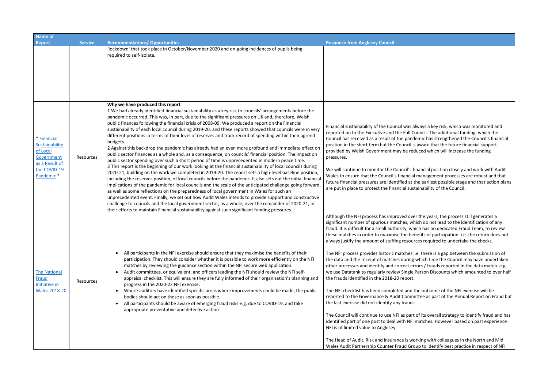| <b>Name of</b>                                                                                         |                  |                                                                                                                                                                                                                                                                                                                                                                                                                                                                                                                                                                                                                                                                                                                                                                                                                                                                                                                                                                                                                                                                                                                                                                                                                                                                                                                                                                                                                                                                                                                                                                                                                                                                                                                                                                                   |                                                                                                                                                                                                                                                                                                                                                                                                                                                                                                                                                                                                                                                                                                                                                                                                                                                                        |  |
|--------------------------------------------------------------------------------------------------------|------------------|-----------------------------------------------------------------------------------------------------------------------------------------------------------------------------------------------------------------------------------------------------------------------------------------------------------------------------------------------------------------------------------------------------------------------------------------------------------------------------------------------------------------------------------------------------------------------------------------------------------------------------------------------------------------------------------------------------------------------------------------------------------------------------------------------------------------------------------------------------------------------------------------------------------------------------------------------------------------------------------------------------------------------------------------------------------------------------------------------------------------------------------------------------------------------------------------------------------------------------------------------------------------------------------------------------------------------------------------------------------------------------------------------------------------------------------------------------------------------------------------------------------------------------------------------------------------------------------------------------------------------------------------------------------------------------------------------------------------------------------------------------------------------------------|------------------------------------------------------------------------------------------------------------------------------------------------------------------------------------------------------------------------------------------------------------------------------------------------------------------------------------------------------------------------------------------------------------------------------------------------------------------------------------------------------------------------------------------------------------------------------------------------------------------------------------------------------------------------------------------------------------------------------------------------------------------------------------------------------------------------------------------------------------------------|--|
| <b>Report</b>                                                                                          | <b>Service</b>   | <b>Recommendations/ Opportunities</b>                                                                                                                                                                                                                                                                                                                                                                                                                                                                                                                                                                                                                                                                                                                                                                                                                                                                                                                                                                                                                                                                                                                                                                                                                                                                                                                                                                                                                                                                                                                                                                                                                                                                                                                                             | <b>Response from Anglesey Council</b>                                                                                                                                                                                                                                                                                                                                                                                                                                                                                                                                                                                                                                                                                                                                                                                                                                  |  |
|                                                                                                        |                  | 'lockdown' that took place in October/November 2020 and on-going incidences of pupils being<br>required to self-isolate.                                                                                                                                                                                                                                                                                                                                                                                                                                                                                                                                                                                                                                                                                                                                                                                                                                                                                                                                                                                                                                                                                                                                                                                                                                                                                                                                                                                                                                                                                                                                                                                                                                                          |                                                                                                                                                                                                                                                                                                                                                                                                                                                                                                                                                                                                                                                                                                                                                                                                                                                                        |  |
| * Financial<br>Sustainability<br>of Local<br>Government<br>as a Result of<br>the COVID-19<br>Pandemic* | Resources        | Why we have produced this report<br>1 We had already identified financial sustainability as a key risk to councils' arrangements before the<br>pandemic occurred. This was, in part, due to the significant pressures on UK and, therefore, Welsh<br>public finances following the financial crisis of 2008-09. We produced a report on the Financial<br>sustainability of each local council during 2019-20, and these reports showed that councils were in very<br>different positions in terms of their level of reserves and track record of spending within their agreed<br>budgets.<br>2 Against this backdrop the pandemic has already had an even more profound and immediate effect on<br>public sector finances as a whole and, as a consequence, on councils' financial position. The impact on<br>public sector spending over such a short period of time is unprecedented in modern peace time.<br>3 This report is the beginning of our work looking at the financial sustainability of local councils during<br>2020-21, building on the work we completed in 2019-20. The report sets a high-level baseline position,<br>including the reserves position, of local councils before the pandemic. It also sets out the initial financia<br>implications of the pandemic for local councils and the scale of the anticipated challenge going forward,<br>as well as some reflections on the preparedness of local government in Wales for such an<br>unprecedented event. Finally, we set out how Audit Wales intends to provide support and constructive<br>challenge to councils and the local government sector, as a whole, over the remainder of 2020-21, in<br>their efforts to maintain Financial sustainability against such significant funding pressures. | Financial sustainability of the Council was al<br>reported on to the Executive and the Full Co<br>Council has received as a result of the pand<br>position in the short term but the Council is<br>provided by Welsh Government may be red<br>pressures.<br>We will continue to monitor the Council's fi<br>Wales to ensure that the Council's financial<br>future financial pressures are identified at t<br>are put in place to protect the financial sust                                                                                                                                                                                                                                                                                                                                                                                                           |  |
| <b>The National</b><br><b>Fraud</b><br>Initiative in<br><b>Wales 2018-20</b>                           | <b>Resources</b> | All participants in the NFI exercise should ensure that they maximise the benefits of their<br>$\bullet$<br>participation. They should consider whether it is possible to work more efficiently on the NFI<br>matches by reviewing the guidance section within the NFI secure web application.<br>Audit committees, or equivalent, and officers leading the NFI should review the NFI self-<br>$\bullet$<br>appraisal checklist. This will ensure they are fully informed of their organisation's planning and<br>progress in the 2020-22 NFI exercise.<br>Where auditors have identified specific areas where improvements could be made, the public<br>$\bullet$<br>bodies should act on these as soon as possible.<br>All participants should be aware of emerging fraud risks e.g. due to COVID-19, and take<br>$\bullet$<br>appropriate preventative and detective action                                                                                                                                                                                                                                                                                                                                                                                                                                                                                                                                                                                                                                                                                                                                                                                                                                                                                                    | Although the NFI process has improved ove<br>significant number of spurious matches, wh<br>fraud. It is difficult for a small authority, wh<br>these matches in order to maximise the ber<br>always justify the amount of staffing resour<br>The NFI process provides historic matches i.<br>the data and the receipt of matches during<br>other processes and identify and correct eri<br>we use Datatank to regularly review Single I<br>the frauds identified in the 2018-20 report.<br>The NFI checklist has been completed and t<br>reported to the Governance & Audit Comm<br>the last exercise did not identify any frauds.<br>The Council will continue to use NFI as part<br>identified part of one post to deal with NFI<br>NFI is of limited value to Anglesey.<br>The Head of Audit, Risk and Insurance is wo<br>Wales Audit Partnership Counter Fraud Gro |  |

always a key risk, which was monitored and Council. The additional funding, which the demic has strengthened the Council's financial is aware that the future financial support educed which will increase the funding

financial position closely and work with Audit al management processes are robust and that future financial pressures the earliest possible stage and that action plans stainability of the Council.

ver the years, the process still generates a vhich do not lead to the identification of any hich has no dedicated Fraud Team, to review enefits of participation. i.e. the return does not urces required to undertake the checks.

i.e. there is a gap between the submission of g which time the Council may have undertaken errors / frauds reported in the data match. e.g e Person Discounts which amounted to over half

I the outcome of the NFI exercise will be mittee as part of the Annual Report on Fraud but

rt of its overall strategy to identify fraud and has I matches. However based on past experience

vorking with colleagues in the North and Mid roup to identify best practice in respect of NFI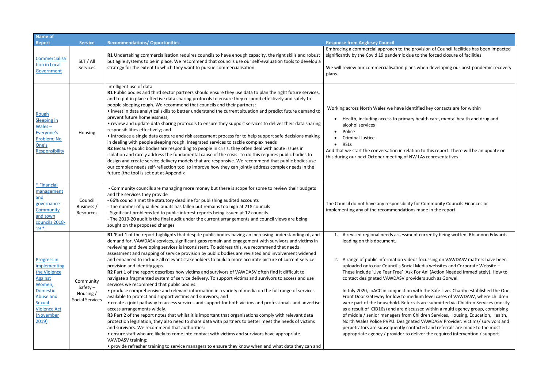| <b>Name of</b>                                                                                                                                                        |                                                                |                                                                                                                                                                                                                                                                                                                                                                                                                                                                                                                                                                                                                                                                                                                                                                                                                                                                                                                                                                                                                                                                                                                                                                                                                                                                                                                                                                                                                                                                                                                                                                                                                                               |                                                                                                                                                                                                                                                                                                                                                                                                                                                                                                                                        |
|-----------------------------------------------------------------------------------------------------------------------------------------------------------------------|----------------------------------------------------------------|-----------------------------------------------------------------------------------------------------------------------------------------------------------------------------------------------------------------------------------------------------------------------------------------------------------------------------------------------------------------------------------------------------------------------------------------------------------------------------------------------------------------------------------------------------------------------------------------------------------------------------------------------------------------------------------------------------------------------------------------------------------------------------------------------------------------------------------------------------------------------------------------------------------------------------------------------------------------------------------------------------------------------------------------------------------------------------------------------------------------------------------------------------------------------------------------------------------------------------------------------------------------------------------------------------------------------------------------------------------------------------------------------------------------------------------------------------------------------------------------------------------------------------------------------------------------------------------------------------------------------------------------------|----------------------------------------------------------------------------------------------------------------------------------------------------------------------------------------------------------------------------------------------------------------------------------------------------------------------------------------------------------------------------------------------------------------------------------------------------------------------------------------------------------------------------------------|
| <b>Report</b>                                                                                                                                                         | <b>Service</b>                                                 | <b>Recommendations/ Opportunities</b>                                                                                                                                                                                                                                                                                                                                                                                                                                                                                                                                                                                                                                                                                                                                                                                                                                                                                                                                                                                                                                                                                                                                                                                                                                                                                                                                                                                                                                                                                                                                                                                                         | <b>Response from Anglesey Council</b>                                                                                                                                                                                                                                                                                                                                                                                                                                                                                                  |
| Commercialisa<br>tion in Local                                                                                                                                        | SLT / All<br>Services                                          | R1 Undertaking commercialisation requires councils to have enough capacity, the right skills and robust<br>but agile systems to be in place. We recommend that councils use our self-evaluation tools to develop a<br>strategy for the extent to which they want to pursue commercialisation.                                                                                                                                                                                                                                                                                                                                                                                                                                                                                                                                                                                                                                                                                                                                                                                                                                                                                                                                                                                                                                                                                                                                                                                                                                                                                                                                                 | Embracing a commercial approach to the p<br>significantly by the Covid 19 pandemic due<br>We will review our commercialisation plan                                                                                                                                                                                                                                                                                                                                                                                                    |
| Government                                                                                                                                                            |                                                                | Intelligent use of data<br>R1 Public bodies and third sector partners should ensure they use data to plan the right future services,                                                                                                                                                                                                                                                                                                                                                                                                                                                                                                                                                                                                                                                                                                                                                                                                                                                                                                                                                                                                                                                                                                                                                                                                                                                                                                                                                                                                                                                                                                          | plans.                                                                                                                                                                                                                                                                                                                                                                                                                                                                                                                                 |
| Rough<br>Sleeping in<br>$Wales -$<br>Everyone's<br>Problem; No<br>One's<br>Responsibility                                                                             | Housing                                                        | and to put in place effective data sharing protocols to ensure they respond effectively and safely to<br>people sleeping rough. We recommend that councils and their partners:<br>. invest in data analytical skills to better understand the current situation and predict future demand to<br>prevent future homelessness;<br>• review and update data sharing protocols to ensure they support services to deliver their data sharing<br>responsibilities effectively; and<br>• introduce a single data capture and risk assessment process for to help support safe decisions making<br>in dealing with people sleeping rough. Integrated services to tackle complex needs<br>R2 Because public bodies are responding to people in crisis, they often deal with acute issues in<br>isolation and rarely address the fundamental cause of the crisis. To do this requires public bodies to<br>design and create service delivery models that are responsive. We recommend that public bodies use<br>our complex needs self-reflection tool to improve how they can jointly address complex needs in the<br>future (the tool is set out at Appendix                                                                                                                                                                                                                                                                                                                                                                                                                                                                                         | Working across North Wales we have ider<br>Health, including access to primary<br>alcohol services<br>Police<br><b>Criminal Justice</b><br><b>RSLs</b><br>And that we start the conversation in relat<br>this during our next October meeting of N                                                                                                                                                                                                                                                                                     |
| * Financial<br>management<br>and<br>governance -<br>Community<br>and town<br>councils 2018-<br>$19*$                                                                  | Council<br>Business /<br>Resources                             | - Community councils are managing more money but there is scope for some to review their budgets<br>and the services they provide<br>- 66% councils met the statutory deadline for publishing audited accounts<br>- The number of qualified audits has fallen but remains too high at 218 councils<br>- Significant problems led to public interest reports being issued at 12 councils<br>- The 2019-20 audit is the final audit under the current arrangements and council views are being<br>sought on the proposed changes                                                                                                                                                                                                                                                                                                                                                                                                                                                                                                                                                                                                                                                                                                                                                                                                                                                                                                                                                                                                                                                                                                                | The Council do not have any responsibility<br>implementing any of the recommendation                                                                                                                                                                                                                                                                                                                                                                                                                                                   |
| Progress in<br>implementing<br>the Violence<br><b>Against</b><br>Women,<br><b>Domestic</b><br>Abuse and<br><b>Sexual</b><br><b>Violence Act</b><br>(November<br>2019) | Community<br>Safety $-$<br>Housing /<br><b>Social Services</b> | R1 'Part 1 of the report highlights that despite public bodies having an increasing understanding of, and<br>demand for, VAWDASV services, significant gaps remain and engagement with survivors and victims in<br>reviewing and developing services is inconsistent. To address this, we recommend that needs<br>assessment and mapping of service provision by public bodies are revisited and involvement widened<br>and enhanced to include all relevant stakeholders to build a more accurate picture of current service<br>provision and identify gaps.<br>R2 Part 1 of the report describes how victims and survivors of VAWDASV often find it difficult to<br>navigate a fragmented system of service delivery. To support victims and survivors to access and use<br>services we recommend that public bodies:<br>• produce comprehensive and relevant information in a variety of media on the full range of services<br>available to protect and support victims and survivors; and<br>• create a joint pathway to access services and support for both victims and professionals and advertise<br>access arrangements widely.<br>R3 Part 2 of the report notes that whilst it is important that organisations comply with relevant data<br>protection legislation, they also need to share data with partners to better meet the needs of victims<br>and survivors. We recommend that authorities:<br>• ensure staff who are likely to come into contact with victims and survivors have appropriate<br>VAWDASV training;<br>• provide refresher training to service managers to ensure they know when and what data they can and | 1. A revised regional needs assessme<br>leading on this document.<br>A range of public information vide<br>2.<br>uploaded onto our Council's Social<br>These include 'Live Fear Free' 'Ask<br>contact designated VAWDASV pro<br>In July 2020, IoACC in conjunction<br>Front Door Gateway for low to me<br>were part of the household. Referi<br>as a result of CID16s) and are disc<br>of middle / senior managers from<br>North Wales Police PVPU. Designa<br>perpetrators are subsequently con<br>appropriate agency / provider to d |

provision of Council facilities has been impacted to the forced closure of facilities. ns when developing our post-pandemic recovery ntified key contacts are for within y health care, mental health and drug and tion to this report. There will be an update on IW LAs representatives. for Community Councils Finances or ns made in the report.

ent currently being written. Rhiannon Edwards

205 focussing on VAWDASV matters have been I Media websites and Corporate Website – If For Ani (Action Needed Immediately), How to viders such as Gorwel.

with the Safe Lives Charity established the One edium level cases of VAWDASV, where children rrals are submitted via Children Services (mostly cussed within a multi agency group, comprising Children Services, Housing, Education, Health, ated VAWDASV Provider. Victims/ survivors and ntacted and referrals are made to the most deliver the required intervention / support.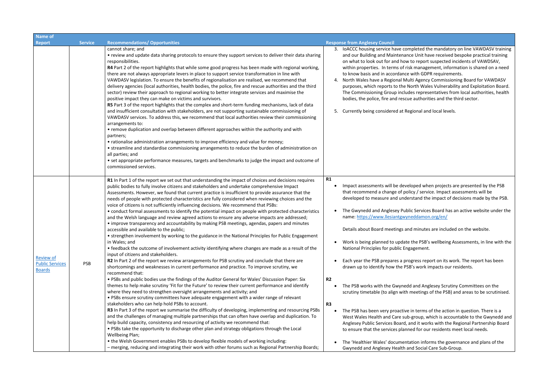| <b>Name of</b>                                              |                |                                                                                                                                                                                                                                                                                                                                                                                                                                                                                                                                                                                                                                                                                                                                                                                                                                                                                                                                                                                                                                                                                                                                                                                                                                                                                                                                                                                                                                                                                                                                                                                                                                                                                                                                                                                                                                                                                                                                                                                                                                                                                                                                                                                                                                                                                                                                                                                                                         |                                                                                                                                                                                                                                                                                                                                                                                                                                                                                                                                                                                                                                                                                                                                    |
|-------------------------------------------------------------|----------------|-------------------------------------------------------------------------------------------------------------------------------------------------------------------------------------------------------------------------------------------------------------------------------------------------------------------------------------------------------------------------------------------------------------------------------------------------------------------------------------------------------------------------------------------------------------------------------------------------------------------------------------------------------------------------------------------------------------------------------------------------------------------------------------------------------------------------------------------------------------------------------------------------------------------------------------------------------------------------------------------------------------------------------------------------------------------------------------------------------------------------------------------------------------------------------------------------------------------------------------------------------------------------------------------------------------------------------------------------------------------------------------------------------------------------------------------------------------------------------------------------------------------------------------------------------------------------------------------------------------------------------------------------------------------------------------------------------------------------------------------------------------------------------------------------------------------------------------------------------------------------------------------------------------------------------------------------------------------------------------------------------------------------------------------------------------------------------------------------------------------------------------------------------------------------------------------------------------------------------------------------------------------------------------------------------------------------------------------------------------------------------------------------------------------------|------------------------------------------------------------------------------------------------------------------------------------------------------------------------------------------------------------------------------------------------------------------------------------------------------------------------------------------------------------------------------------------------------------------------------------------------------------------------------------------------------------------------------------------------------------------------------------------------------------------------------------------------------------------------------------------------------------------------------------|
| <b>Report</b>                                               | <b>Service</b> | <b>Recommendations/ Opportunities</b>                                                                                                                                                                                                                                                                                                                                                                                                                                                                                                                                                                                                                                                                                                                                                                                                                                                                                                                                                                                                                                                                                                                                                                                                                                                                                                                                                                                                                                                                                                                                                                                                                                                                                                                                                                                                                                                                                                                                                                                                                                                                                                                                                                                                                                                                                                                                                                                   | <b>Response from Anglesey Council</b>                                                                                                                                                                                                                                                                                                                                                                                                                                                                                                                                                                                                                                                                                              |
|                                                             |                | cannot share; and<br>• review and update data sharing protocols to ensure they support services to deliver their data sharing<br>responsibilities.<br>R4 Part 2 of the report highlights that while some good progress has been made with regional working,<br>there are not always appropriate levers in place to support service transformation in line with<br>VAWDASV legislation. To ensure the benefits of regionalisation are realised, we recommend that<br>delivery agencies (local authorities, health bodies, the police, fire and rescue authorities and the third<br>sector) review their approach to regional working to better integrate services and maximise the<br>positive impact they can make on victims and survivors.<br>R5 Part 3 of the report highlights that the complex and short-term funding mechanisms, lack of data<br>and insufficient consultation with stakeholders, are not supporting sustainable commissioning of<br>VAWDASV services. To address this, we recommend that local authorities review their commissioning<br>arrangements to:<br>• remove duplication and overlap between different approaches within the authority and with<br>partners;<br>• rationalise administration arrangements to improve efficiency and value for money;<br>• streamline and standardise commissioning arrangements to reduce the burden of administration on<br>all parties; and<br>• set appropriate performance measures, targets and benchmarks to judge the impact and outcome of<br>commissioned services.                                                                                                                                                                                                                                                                                                                                                                                                                                                                                                                                                                                                                                                                                                                                                                                                                                                                            | 3. IoACCC housing service have compl<br>and our Building and Maintenance<br>on what to look out for and how to<br>within properties. In terms of risk n<br>to know basis and in accordance wi<br>North Wales have a Regional Multi.<br>4.<br>purposes, which reports to the Nort<br>The Commissioning Group includes<br>bodies, the police, fire and rescue a<br>Currently being considered at Regio<br>5.                                                                                                                                                                                                                                                                                                                         |
| <b>Review of</b><br><b>Public Services</b><br><b>Boards</b> | <b>PSB</b>     | R1 In Part 1 of the report we set out that understanding the impact of choices and decisions requires<br>public bodies to fully involve citizens and stakeholders and undertake comprehensive Impact<br>Assessments. However, we found that current practice is insufficient to provide assurance that the<br>needs of people with protected characteristics are fully considered when reviewing choices and the<br>voice of citizens is not sufficiently influencing decisions. We recommend that PSBs:<br>• conduct formal assessments to identify the potential impact on people with protected characteristics<br>and the Welsh language and review agreed actions to ensure any adverse impacts are addressed;<br>• improve transparency and accountability by making PSB meetings, agendas, papers and minutes<br>accessible and available to the public;<br>• strengthen involvement by working to the guidance in the National Principles for Public Engagement<br>in Wales; and<br>• feedback the outcome of involvement activity identifying where changes are made as a result of the<br>input of citizens and stakeholders.<br>R2 In Part 2 of the report we review arrangements for PSB scrutiny and conclude that there are<br>shortcomings and weaknesses in current performance and practice. To improve scrutiny, we<br>recommend that:<br>. PSBs and public bodies use the findings of the Auditor General for Wales' Discussion Paper: Six<br>themes to help make scrutiny 'Fit for the Future' to review their current performance and identify<br>where they need to strengthen oversight arrangements and activity; and<br>. PSBs ensure scrutiny committees have adequate engagement with a wider range of relevant<br>stakeholders who can help hold PSBs to account.<br>R3 In Part 3 of the report we summarise the difficulty of developing, implementing and resourcing PSBs<br>and the challenges of managing multiple partnerships that can often have overlap and duplication. To<br>help build capacity, consistency and resourcing of activity we recommend that:<br>. PSBs take the opportunity to discharge other plan and strategy obligations through the Local<br>Wellbeing Plan;<br>• the Welsh Government enables PSBs to develop flexible models of working including:<br>- merging, reducing and integrating their work with other forums such as Regional Partnership Boards; | R1<br>Impact assessments will be develop<br>that recommend a change of policy<br>developed to measure and understa<br>The Gwynedd and Anglesey Public S<br>name: https://www.llesiantgwyned<br>Details about Board meetings and n<br>Work is being planned to update th<br>National Principles for public Engag<br>Each year the PSB prepares a progre<br>drawn up to identify how the PSB's<br>R <sub>2</sub><br>The PSB works with the Gwynedd a<br>scrutiny timetable (to align with me<br>R3<br>The PSB has been very proactive in<br>West Wales Health and Care sub-gr<br>Anglesey Public Services Board, and<br>to ensure that the services planned<br>The 'Healthier Wales' documentatio<br>Gwynedd and Anglesey Health and |

leted the mandatory on line VAWDASV training Unit have received bespoke practical training on report suspected incidents of VAWDSAV, management, information is shared on a need ith GDPR requirements.

Agency Commissioning Board for VAWDASV rth Wales Vulnerability and Exploitation Board. The Commissions includes from local authorities, health authorities and the third sector.

onal and local levels.

ped when projects are presented by the PSB  $\frac{1}{s}$  / service. Impact assessments will be tand the impact of decisions made by the PSB.

Services Board has an active website under the ddamon.org/en/

minutes are included on the website.

he PSB's wellbeing Assessments, in line with the gement.

ress report on its work. The report has been drawn up identify work impacts our residents.

and Anglesey Scrutiny Committees on the eetings of the PSB) and areas to be scrutinised.

I terms of the action in question. There is a roup, which is accountable to the Gwynedd and It works with the Regional Partnership Board I for our residents meet local needs.

ion informs the governance and plans of the **Social Care Sub-Group.**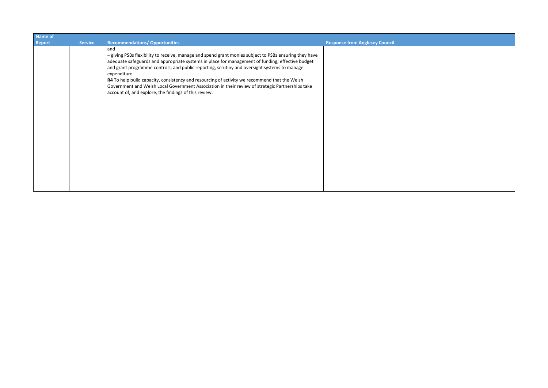| Name of       |                |                                                                                                                                                                                                                                                                                                                                                                                                                                                                                                                                                                                                 |                                       |
|---------------|----------------|-------------------------------------------------------------------------------------------------------------------------------------------------------------------------------------------------------------------------------------------------------------------------------------------------------------------------------------------------------------------------------------------------------------------------------------------------------------------------------------------------------------------------------------------------------------------------------------------------|---------------------------------------|
| <b>Report</b> | <b>Service</b> | <b>Recommendations/ Opportunities</b>                                                                                                                                                                                                                                                                                                                                                                                                                                                                                                                                                           | <b>Response from Anglesey Council</b> |
|               |                | and<br>- giving PSBs flexibility to receive, manage and spend grant monies subject to PSBs ensuring they have<br>adequate safeguards and appropriate systems in place for management of funding; effective budget<br>and grant programme controls; and public reporting, scrutiny and oversight systems to manage<br>expenditure.<br>R4 To help build capacity, consistency and resourcing of activity we recommend that the Welsh<br>Government and Welsh Local Government Association in their review of strategic Partnerships take<br>account of, and explore, the findings of this review. |                                       |
|               |                |                                                                                                                                                                                                                                                                                                                                                                                                                                                                                                                                                                                                 |                                       |

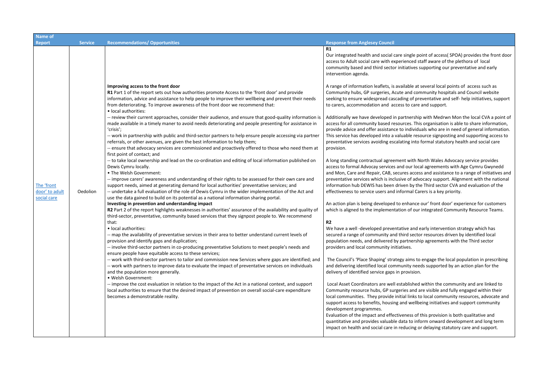| <b>Name of</b>                              |                |                                                                                                                                                                                                                                                                                                                                                                                                                                                                                                                                                                                                    |                                                                                                                                                                                                                                                                                                                                                                                       |  |
|---------------------------------------------|----------------|----------------------------------------------------------------------------------------------------------------------------------------------------------------------------------------------------------------------------------------------------------------------------------------------------------------------------------------------------------------------------------------------------------------------------------------------------------------------------------------------------------------------------------------------------------------------------------------------------|---------------------------------------------------------------------------------------------------------------------------------------------------------------------------------------------------------------------------------------------------------------------------------------------------------------------------------------------------------------------------------------|--|
| <b>Report</b>                               | <b>Service</b> | <b>Recommendations/ Opportunities</b>                                                                                                                                                                                                                                                                                                                                                                                                                                                                                                                                                              | <b>Response from Anglesey Council</b>                                                                                                                                                                                                                                                                                                                                                 |  |
|                                             |                | Improving access to the front door<br>R1 Part 1 of the report sets out how authorities promote Access to the 'front door' and provide                                                                                                                                                                                                                                                                                                                                                                                                                                                              | <b>R1</b><br>Our integrated health and social care single po<br>access to Adult social care with experienced st<br>community based and third sector initiatives s<br>intervention agenda.<br>A range of information leaflets, is available at<br>Community hubs, GP surgeries, Acute and con                                                                                          |  |
|                                             |                | information, advice and assistance to help people to improve their wellbeing and prevent their needs<br>from deteriorating. To improve awareness of the front door we recommend that:<br>• local authorities:                                                                                                                                                                                                                                                                                                                                                                                      | seeking to ensure widespread cascading of pre<br>to carers, accommodation and access to care                                                                                                                                                                                                                                                                                          |  |
|                                             |                | -- review their current approaches, consider their audience, and ensure that good-quality information is<br>made available in a timely maner to avoid needs deteriorating and people presenting for assistance in<br>'crisis';<br>-- work in partnership with public and third-sector partners to help ensure people accessing via partner<br>referrals, or other avenues, are given the best information to help them;<br>-- ensure that advocacy services are commissioned and proactively offered to those who need them at                                                                     | Additionally we have developed in partnership<br>access for all community based resources. This<br>provide advice and offer assistance to individu<br>This service has developed into a valuable reso<br>preventative services avoiding escalating into<br>provision.                                                                                                                 |  |
| The 'front<br>door' to adult<br>social care | Oedolion       | first point of contact; and<br>-- to take local ownership and lead on the co-ordination and editing of local information published on<br>Dewis Cymru locally.<br>• The Welsh Government:<br>-- improve carers' awareness and understanding of their rights to be assessed for their own care and<br>support needs, aimed at generating demand for local authorities' preventative services; and<br>-- undertake a full evaluation of the role of Dewis Cymru in the wider implementation of the Act and<br>use the data gained to build on its potential as a national information sharing portal. | A long standing contractual agreement with N<br>access to formal Advocay services and our loca<br>and Mon, Care and Repair, CAB, secures acces<br>preventative services which is inclusive of adv<br>information hub DEWIS has been driven by the<br>effectiveness to service users and informal Car                                                                                  |  |
|                                             |                | Investing in prevention and understanding impact<br>R2 Part 2 of the report highlights weaknesses in authorities' assurance of the availability and quality of<br>third-sector, preventative, community based services that they signpost people to. We recommend                                                                                                                                                                                                                                                                                                                                  | An action plan is being developed to enhance<br>which is aligned to the implementation of our                                                                                                                                                                                                                                                                                         |  |
|                                             |                | that:<br>• local authorities:<br>-- map the availability of preventative services in their area to better understand current levels of<br>provision and identify gaps and duplication;<br>-- involve third-sector partners in co-producing preventative Solutions to meet people's needs and                                                                                                                                                                                                                                                                                                       | R2<br>We have a well-developed preventative and e<br>secured a range of community and third secto<br>population needs, and delivered by partnershi<br>providers and local community initiatives.                                                                                                                                                                                      |  |
|                                             |                | ensure people have equitable access to these services;<br>-- work with third-sector partners to tailor and commission new Services where gaps are identified; and<br>-- work with partners to improve data to evaluate the impact of preventative services on individuals<br>and the population more generally.<br>· Welsh Government:                                                                                                                                                                                                                                                             | The Council's 'Place Shaping' strategy aims to<br>and delivering identified local community need<br>delivery of identified service gaps in provision.                                                                                                                                                                                                                                 |  |
|                                             |                | -- improve the cost evaluation in relation to the impact of the Act in a national context, and support<br>local authorities to ensure that the desired impact of prevention on overall social-care expenditure<br>becomes a demonstratable reality.                                                                                                                                                                                                                                                                                                                                                | Local Asset Coordinators are well established<br>Community resource hubs, GP surgeries and a<br>local communities. They provide initial links to<br>support access to benefits, housing and wellbe<br>development programmes.<br>Evaluation of the impact and effectiveness of t<br>quantitative and provides valuable data to info<br>impact on health and social care in reducing o |  |

point of access( SPOA) provides the front door d staff aware of the plethora of local es supporting our preventative and early

at several local points of access such as community hospitals and Council website f preventative and self- help initiatives, support are and support.

ship with Medrwn Mon the local CVA a point of This organisation is able to share information, riduals who are in need of general information. resource signposting and supporting access to nto formal statutory health and social care

h North Wales Advocacy service provides local agreements with Age Cymru Gwynedd cess and assistance to a range of initiatives and advocacy support. Alignment with the national the Third sector CVA and evaluation of the Carers is a key priority.

Ace our' front door' experience for customers our integrated Community Resource Teams.

nd early intervention strategy which has ector resources driven by identified local rship agreements with the Third sector

to engage the local population in prescribing needs supported by an action plan for the

led within the community and are linked to d are visible and fully engaged within their ks to local community resources, advocate and Ilbeing initiatives and support community

of this provision is both qualitative and inform onward development and long term ig or delaying statutory care and support.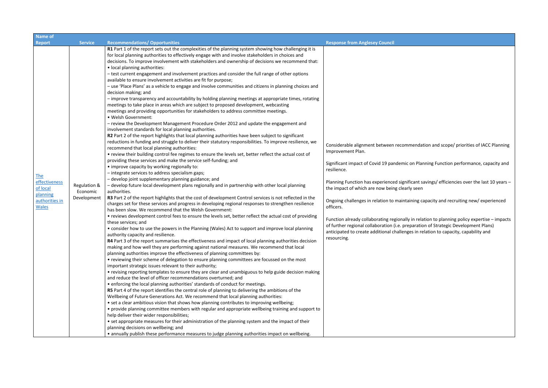| <b>Service</b><br><b>Report</b>                                                                                                  | <b>Recommendations/ Opportunities</b>                                                                                                                                                                                                                                                                                                                                                                                                                                                                                                                                                                                                                                                                                                                                                                                                                                                                                                                                                                                                                                                                                                                                                                                                                                                                                                                                                                                                                                                                                                                                                                                                                                                                                                                                                                                                                                                                                                                                                                                                                                                                                                                                                                                                                                                                                                                                                                                                                                                                                                                                                                                                                                                                                                                                                                                                                                                                                                                                                                                                                                                                                                                                                                                                              | <b>Response from Anglesey Council</b>                                                                                                                                                                                                                                                                                                                                                                                                  |
|----------------------------------------------------------------------------------------------------------------------------------|----------------------------------------------------------------------------------------------------------------------------------------------------------------------------------------------------------------------------------------------------------------------------------------------------------------------------------------------------------------------------------------------------------------------------------------------------------------------------------------------------------------------------------------------------------------------------------------------------------------------------------------------------------------------------------------------------------------------------------------------------------------------------------------------------------------------------------------------------------------------------------------------------------------------------------------------------------------------------------------------------------------------------------------------------------------------------------------------------------------------------------------------------------------------------------------------------------------------------------------------------------------------------------------------------------------------------------------------------------------------------------------------------------------------------------------------------------------------------------------------------------------------------------------------------------------------------------------------------------------------------------------------------------------------------------------------------------------------------------------------------------------------------------------------------------------------------------------------------------------------------------------------------------------------------------------------------------------------------------------------------------------------------------------------------------------------------------------------------------------------------------------------------------------------------------------------------------------------------------------------------------------------------------------------------------------------------------------------------------------------------------------------------------------------------------------------------------------------------------------------------------------------------------------------------------------------------------------------------------------------------------------------------------------------------------------------------------------------------------------------------------------------------------------------------------------------------------------------------------------------------------------------------------------------------------------------------------------------------------------------------------------------------------------------------------------------------------------------------------------------------------------------------------------------------------------------------------------------------------------------------|----------------------------------------------------------------------------------------------------------------------------------------------------------------------------------------------------------------------------------------------------------------------------------------------------------------------------------------------------------------------------------------------------------------------------------------|
|                                                                                                                                  |                                                                                                                                                                                                                                                                                                                                                                                                                                                                                                                                                                                                                                                                                                                                                                                                                                                                                                                                                                                                                                                                                                                                                                                                                                                                                                                                                                                                                                                                                                                                                                                                                                                                                                                                                                                                                                                                                                                                                                                                                                                                                                                                                                                                                                                                                                                                                                                                                                                                                                                                                                                                                                                                                                                                                                                                                                                                                                                                                                                                                                                                                                                                                                                                                                                    |                                                                                                                                                                                                                                                                                                                                                                                                                                        |
| <b>The</b><br>effectiveness<br>Regulation &<br>of local<br>Economic<br>planning<br>Development<br>authorities in<br><b>Wales</b> | R1 Part 1 of the report sets out the complexities of the planning system showing how challenging it is<br>for local planning authorities to effectively engage with and involve stakeholders in choices and<br>decisions. To improve involvement with stakeholders and ownership of decisions we recommend that:<br>• local planning authorities:<br>- test current engagement and involvement practices and consider the full range of other options<br>available to ensure involvement activities are fit for purpose;<br>- use 'Place Plans' as a vehicle to engage and involve communities and citizens in planning choices and<br>decision making; and<br>- improve transparency and accountability by holding planning meetings at appropriate times, rotating<br>meetings to take place in areas which are subject to proposed development, webcasting<br>meetings and providing opportunities for stakeholders to address committee meetings.<br>· Welsh Government:<br>- review the Development Management Procedure Order 2012 and update the engagement and<br>involvement standards for local planning authorities.<br>R2 Part 2 of the report highlights that local planning authorities have been subject to significant<br>reductions in funding and struggle to deliver their statutory responsibilities. To improve resilience, we<br>recommend that local planning authorities:<br>• review their building control fee regimes to ensure the levels set, better reflect the actual cost of<br>providing these services and make the service self-funding; and<br>• improve capacity by working regionally to:<br>- integrate services to address specialism gaps;<br>- develop joint supplementary planning guidance; and<br>- develop future local development plans regionally and in partnership with other local planning<br>authorities.<br>R3 Part 2 of the report highlights that the cost of development Control services is not reflected in the<br>charges set for these services and progress in developing regional responses to strengthen resilience<br>has been slow. We recommend that the Welsh Government:<br>• reviews development control fees to ensure the levels set, better reflect the actual cost of providing<br>these services; and<br>• consider how to use the powers in the Planning (Wales) Act to support and improve local planning<br>authority capacity and resilience.<br>R4 Part 3 of the report summarises the effectiveness and impact of local planning authorities decision<br>making and how well they are performing against national measures. We recommend that local<br>planning authorities improve the effectiveness of planning committees by:<br>• reviewing their scheme of delegation to ensure planning committees are focussed on the most<br>important strategic issues relevant to their authority;<br>• revising reporting templates to ensure they are clear and unambiguous to help guide decision making<br>and reduce the level of officer recommendations overturned; and<br>• enforcing the local planning authorities' standards of conduct for meetings.<br>R5 Part 4 of the report identifies the central role of planning to delivering the ambitions of the | Considerable alignment between recomm<br>Improvement Plan.<br>Significant impact of Covid 19 pandemic o<br>resilience.<br>Planning Function has experienced signific<br>the impact of which are now being clearly<br>Ongoing challenges in relation to maintair<br>officers.<br>Function already collaborating regionally<br>of further regional collaboration (i.e. prep<br>anticipated to create additional challenge<br>resourcing. |

mendation and scope/ priorities of IACC Planning

on Planning Function performance, capacity and

icant savings/ efficiencies over the last 10 years – the seen

ining capacity and recruiting new/ experienced

in relation to planning policy expertise – impacts paration of Strategic Development Plans) es in relation to capacity, capability and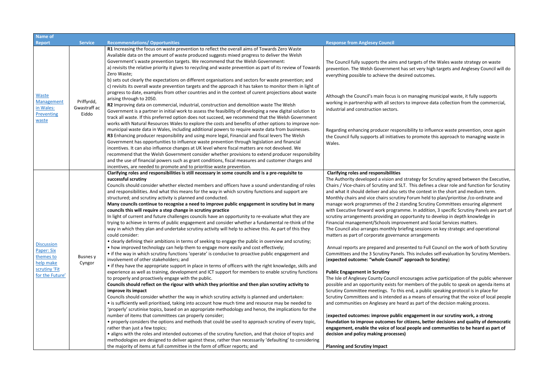(**expected outcomes: improve public engagement in our scrutiny work, a strong foundation foundations and quality of democratic impropendiers ple and communities to be heard as part of** 

| <b>Name of</b>                                                                                |                                     |                                                                                                                                                                                                                                                                                                                                                                                                                                                                                                                                                                                                                                                                                                                                                                                                                                                                                                                                                                                                                                                                                                                                                                                                                                                                                                                                                                                                                                                                                                                                                                                                                                                                                                                                                                                                                                                                                                                                                                                                                                                                                                                                                                                                                                                                                                                                                                                                                                                                                                      |                                                                                                                                                                                                                                                                                                                                                                                                                                                                                                                                                                                                                                                                                                                                                                                                                                                                                                                                                                                                                                                                                                                                                                       |  |
|-----------------------------------------------------------------------------------------------|-------------------------------------|------------------------------------------------------------------------------------------------------------------------------------------------------------------------------------------------------------------------------------------------------------------------------------------------------------------------------------------------------------------------------------------------------------------------------------------------------------------------------------------------------------------------------------------------------------------------------------------------------------------------------------------------------------------------------------------------------------------------------------------------------------------------------------------------------------------------------------------------------------------------------------------------------------------------------------------------------------------------------------------------------------------------------------------------------------------------------------------------------------------------------------------------------------------------------------------------------------------------------------------------------------------------------------------------------------------------------------------------------------------------------------------------------------------------------------------------------------------------------------------------------------------------------------------------------------------------------------------------------------------------------------------------------------------------------------------------------------------------------------------------------------------------------------------------------------------------------------------------------------------------------------------------------------------------------------------------------------------------------------------------------------------------------------------------------------------------------------------------------------------------------------------------------------------------------------------------------------------------------------------------------------------------------------------------------------------------------------------------------------------------------------------------------------------------------------------------------------------------------------------------------|-----------------------------------------------------------------------------------------------------------------------------------------------------------------------------------------------------------------------------------------------------------------------------------------------------------------------------------------------------------------------------------------------------------------------------------------------------------------------------------------------------------------------------------------------------------------------------------------------------------------------------------------------------------------------------------------------------------------------------------------------------------------------------------------------------------------------------------------------------------------------------------------------------------------------------------------------------------------------------------------------------------------------------------------------------------------------------------------------------------------------------------------------------------------------|--|
| Report                                                                                        | <b>Service</b>                      | <b>Recommendations/ Opportunities</b>                                                                                                                                                                                                                                                                                                                                                                                                                                                                                                                                                                                                                                                                                                                                                                                                                                                                                                                                                                                                                                                                                                                                                                                                                                                                                                                                                                                                                                                                                                                                                                                                                                                                                                                                                                                                                                                                                                                                                                                                                                                                                                                                                                                                                                                                                                                                                                                                                                                                | <b>Response from Anglesey Council</b>                                                                                                                                                                                                                                                                                                                                                                                                                                                                                                                                                                                                                                                                                                                                                                                                                                                                                                                                                                                                                                                                                                                                 |  |
| Waste<br>Management<br>in Wales:<br>Preventing<br>waste                                       | Priffyrdd,<br>Gwastraff ac<br>Eiddo | R1 Increasing the focus on waste prevention to reflect the overall aims of Towards Zero Waste<br>Available data on the amount of waste produced suggests mixed progress to deliver the Welsh<br>Government's waste prevention targets. We recommend that the Welsh Government:<br>a) revisits the relative priority it gives to recycling and waste prevention as part of its review of Towards<br>Zero Waste;<br>b) sets out clearly the expectations on different organisations and sectors for waste prevention; and<br>c) revisits its overall waste prevention targets and the approach it has taken to monitor them in light of<br>progress to date, examples from other countries and in the context of curent projections about waste<br>arising through to 2050.<br>R2 Improving data on commercial, industrial, construction and demolition waste The Welsh<br>Government is a partner in initial work to assess the feasibility of developing a new digital solution to<br>track all waste. If this preferred option does not succeed, we recommend that the Welsh Government<br>works with Natural Resources Wales to explore the costs and benefits of other options to improve non-<br>municipal waste data in Wales, including additional powers to require waste data from businesses.<br>R3 Enhancing producer responsibility and using more legal, Financial and fiscal levers The Welsh<br>Government has opportunities to influence waste prevention through legislation and financial<br>incentives. It can also influence changes at UK level where fiscal matters are not devolved. We<br>recommend that the Welsh Government consider whether provisions to extend producer responsibility<br>and the use of financial powers such as grant conditions, fiscal measures and customer charges and<br>incentives, are needed to promote and to prioritise waste prevention.                                                                                                                                                                                                                                                                                                                                                                                                                                                                                                                                                                                                    | The Council fully supports the aims and targ<br>prevention. The Welsh Government has set<br>everything possible to achieve the desired o<br>Although the Council's main focus is on mar<br>working in partnership with all sectors to in<br>industrial and construction sectors.<br>Regarding enhancing producer responsibilit<br>the Council fully supports all initiatives to pr<br>Wales.                                                                                                                                                                                                                                                                                                                                                                                                                                                                                                                                                                                                                                                                                                                                                                          |  |
| <b>Discussion</b><br>Paper: Six<br>themes to<br>help make<br>scrutiny 'Fit<br>for the Future' | <b>Busnes</b> y<br>Cyngor           | Clarifying roles and responsibilities is still necessary in some councils and is a pre-requisite to<br>successful scrutiny<br>Councils should consider whether elected members and officers have a sound understanding of roles<br>and responsibilities. And what this means for the way in which scrutiny functions and support are<br>structured; and scrutiny activity is planned and conducted.<br>Many councils continue to recognise a need to improve public engagement in scrutiny but in many<br>councils this will require a step change in scrutiny practice<br>In light of current and future challenges councils have an opportunity to re-evaluate what they are<br>trying to achieve in terms of public engagement and consider whether a fundamental re-think of the<br>way in which they plan and undertake scrutiny activity will help to achieve this. As part of this they<br>could consider:<br>• clearly defining their ambitions in terms of seeking to engage the public in overview and scrutiny;<br>• how improved technology can help them to engage more easily and cost effectively;<br>• if the way in which scrutiny functions 'operate' is conducive to proactive public engagement and<br>involvement of other stakeholders; and<br>• if they have the appropriate support in place in terms of officers with the right knowledge, skills and<br>experience as well as training, development and ICT support for members to enable scrutiny functions<br>to properly and proactively engage with the public.<br>Councils should reflect on the rigour with which they prioritise and then plan scrutiny activity to<br>improve its impact<br>Councils should consider whether the way in which scrutiny activity is planned and undertaken:<br>• is sufficiently well prioritised, taking into account how much time and resource may be needed to<br>'properly' scrutinise topics, based on an appropriate methodology and hence, the implications for the<br>number of items that committees can properly consider;<br>• properly considers the options and methods that could be used to approach scrutiny of every topic,<br>rather than just a few topics;<br>• aligns with the roles and intended outcomes of the scrutiny function, and that choice of topics and<br>methodologies are designed to deliver against these, rather than necessarily 'defaulting' to considering<br>the majority of items at full committee in the form of officer reports; and | <b>Clarifying roles and responsibilities</b><br>The Authority developed a vision and strate<br>Chairs / Vice-chairs of Scrutiny and SLT. Thi<br>and what it should deliver and also sets the<br>Monthly chairs and vice chairs scrutiny Foru<br>manage work programmes of the 2 standing<br>with Executive forward work programme. In<br>scrutiny arrangements providing an opportu<br>Financial management/Schools improveme<br>The Council also arranges monthly briefing :<br>matters as part of corporate governance are<br>Annual reports are prepared and presented<br>Committees and the 3 Scrutiny Panels. This<br>(expected outcome: "whole Council" appro<br><b>Public Engagement in Scrutiny</b><br>The Isle of Anglesey County Council encoura<br>possible and an opportunity exists for mem<br>Scrutiny Committee meetings. To this end,<br>Scrutiny Committees and is intended as a m<br>and communities on Anglesey are heard as<br>(expected outcomes: improve public engag<br>foundation to improve outcomes for citize<br>engagement, enable the voice of local peo<br>decision and policy making processes)<br><b>Planning and Scrutiny Impact</b> |  |

gets of the Wales waste strategy on waste very high targets and Anglesey Council will do outcomes.

naging municipal waste, it fully supports mprove data collection from the commercial,

Ity to influence waste prevention, once again romote this approach to managing waste in

egy for Scrutiny agreed between the Executive, is defines a clear role and function for Scrutiny ed context in the short and medium term. um held to plan/prioritise /co-ordinate and ng Scrutiny Committees ensuring alignment In addition, 3 specific Scrutiny Panels are part of tunity to develop in depth knowledge in **Int and Social Services matters.** sessions on key strategic and operational

rangements

d to Full Council on the work of both Scrutiny includes self-evaluation by Scrutiny Members. **(bach to Scrutiny)** 

ages active participation of the public wherever nbers of the public to speak on agenda items at , a public speaking protocol is in place for neans of ensuring that the voice of local people and communities on the decision making process.